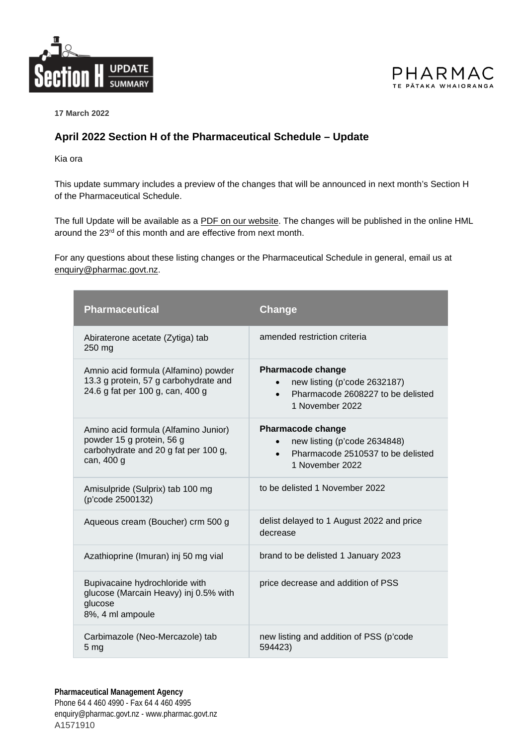



**17 March 2022**

## **April 2022 Section H of the Pharmaceutical Schedule – Update**

Kia ora

This update summary includes a preview of the changes that will be announced in next month's Section H of the Pharmaceutical Schedule.

The full Update will be available as a [PDF on our website.](https://schedule.pharmac.govt.nz/latest/HMLUpdatePubl.pdf) The changes will be published in the online HML around the 23<sup>rd</sup> of this month and are effective from next month.

For any questions about these listing changes or the Pharmaceutical Schedule in general, email us at [enquiry@pharmac.govt.nz.](mailto:enquiry@pharmac.govt.nz)

| <b>Pharmaceutical</b>                                                                                                   | Change                                                                                                                        |
|-------------------------------------------------------------------------------------------------------------------------|-------------------------------------------------------------------------------------------------------------------------------|
| Abiraterone acetate (Zytiga) tab<br>250 mg                                                                              | amended restriction criteria                                                                                                  |
| Amnio acid formula (Alfamino) powder<br>13.3 g protein, 57 g carbohydrate and<br>24.6 g fat per 100 g, can, 400 g       | <b>Pharmacode change</b><br>new listing (p'code 2632187)<br>Pharmacode 2608227 to be delisted<br>$\bullet$<br>1 November 2022 |
| Amino acid formula (Alfamino Junior)<br>powder 15 g protein, 56 g<br>carbohydrate and 20 g fat per 100 g,<br>can, 400 g | <b>Pharmacode change</b><br>new listing (p'code 2634848)<br>Pharmacode 2510537 to be delisted<br>$\bullet$<br>1 November 2022 |
| Amisulpride (Sulprix) tab 100 mg<br>(p'code 2500132)                                                                    | to be delisted 1 November 2022                                                                                                |
| Aqueous cream (Boucher) crm 500 g                                                                                       | delist delayed to 1 August 2022 and price<br>decrease                                                                         |
| Azathioprine (Imuran) inj 50 mg vial                                                                                    | brand to be delisted 1 January 2023                                                                                           |
| Bupivacaine hydrochloride with<br>glucose (Marcain Heavy) inj 0.5% with<br>glucose<br>8%, 4 ml ampoule                  | price decrease and addition of PSS                                                                                            |
| Carbimazole (Neo-Mercazole) tab<br>5 mg                                                                                 | new listing and addition of PSS (p'code<br>594423)                                                                            |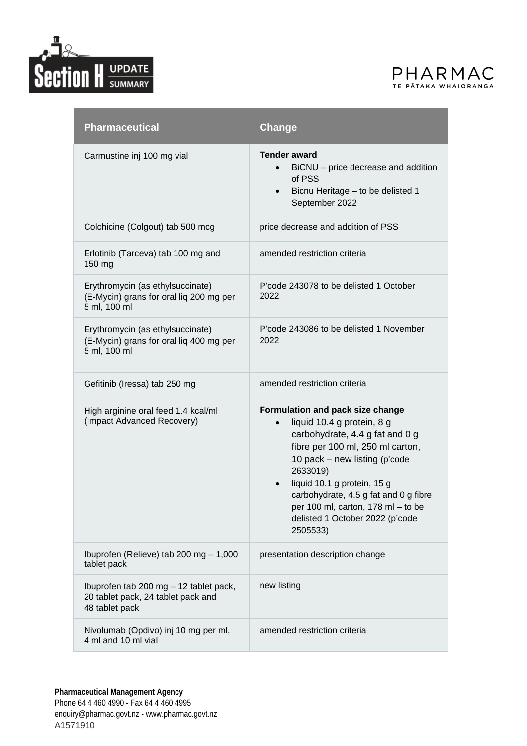



| <b>Pharmaceutical</b>                                                                          | Change                                                                                                                                                                                                                                                                                                                                                                    |
|------------------------------------------------------------------------------------------------|---------------------------------------------------------------------------------------------------------------------------------------------------------------------------------------------------------------------------------------------------------------------------------------------------------------------------------------------------------------------------|
| Carmustine inj 100 mg vial                                                                     | <b>Tender award</b><br>BiCNU – price decrease and addition<br>$\bullet$<br>of PSS<br>Bicnu Heritage - to be delisted 1<br>$\bullet$<br>September 2022                                                                                                                                                                                                                     |
| Colchicine (Colgout) tab 500 mcg                                                               | price decrease and addition of PSS                                                                                                                                                                                                                                                                                                                                        |
| Erlotinib (Tarceva) tab 100 mg and<br>150 mg                                                   | amended restriction criteria                                                                                                                                                                                                                                                                                                                                              |
| Erythromycin (as ethylsuccinate)<br>(E-Mycin) grans for oral lig 200 mg per<br>5 ml, 100 ml    | P'code 243078 to be delisted 1 October<br>2022                                                                                                                                                                                                                                                                                                                            |
| Erythromycin (as ethylsuccinate)<br>(E-Mycin) grans for oral liq 400 mg per<br>5 ml, 100 ml    | P'code 243086 to be delisted 1 November<br>2022                                                                                                                                                                                                                                                                                                                           |
| Gefitinib (Iressa) tab 250 mg                                                                  | amended restriction criteria                                                                                                                                                                                                                                                                                                                                              |
| High arginine oral feed 1.4 kcal/ml<br>(Impact Advanced Recovery)                              | Formulation and pack size change<br>liquid 10.4 g protein, 8 g<br>$\bullet$<br>carbohydrate, 4.4 g fat and 0 g<br>fibre per 100 ml, 250 ml carton,<br>10 pack – new listing (p'code<br>2633019)<br>liquid 10.1 g protein, 15 g<br>$\bullet$<br>carbohydrate, 4.5 g fat and 0 g fibre<br>per 100 ml, carton, 178 ml - to be<br>delisted 1 October 2022 (p'code<br>2505533) |
| Ibuprofen (Relieve) tab 200 mg - 1,000<br>tablet pack                                          | presentation description change                                                                                                                                                                                                                                                                                                                                           |
| Ibuprofen tab 200 mg - 12 tablet pack,<br>20 tablet pack, 24 tablet pack and<br>48 tablet pack | new listing                                                                                                                                                                                                                                                                                                                                                               |
| Nivolumab (Opdivo) inj 10 mg per ml,<br>4 ml and 10 ml vial                                    | amended restriction criteria                                                                                                                                                                                                                                                                                                                                              |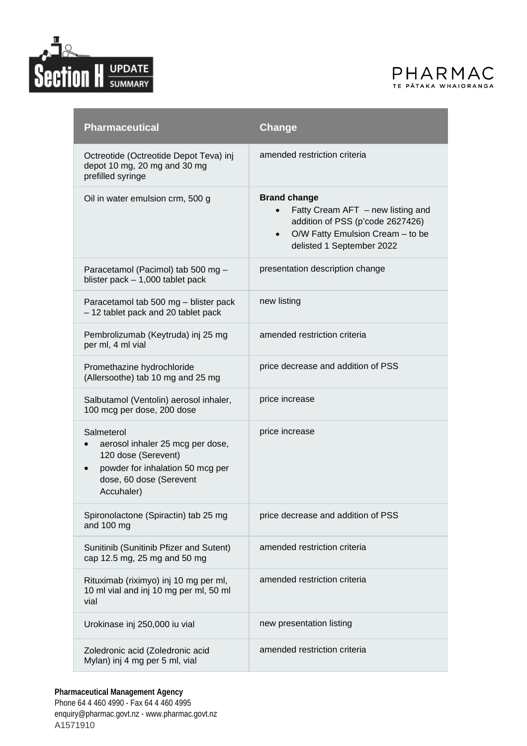



| <b>Pharmaceutical</b>                                                                                                                              | Change                                                                                                                                                                                    |
|----------------------------------------------------------------------------------------------------------------------------------------------------|-------------------------------------------------------------------------------------------------------------------------------------------------------------------------------------------|
| Octreotide (Octreotide Depot Teva) inj<br>depot 10 mg, 20 mg and 30 mg<br>prefilled syringe                                                        | amended restriction criteria                                                                                                                                                              |
| Oil in water emulsion crm, 500 g                                                                                                                   | <b>Brand change</b><br>Fatty Cream $AFT$ – new listing and<br>$\bullet$<br>addition of PSS (p'code 2627426)<br>O/W Fatty Emulsion Cream - to be<br>$\bullet$<br>delisted 1 September 2022 |
| Paracetamol (Pacimol) tab 500 mg -<br>blister pack $-1,000$ tablet pack                                                                            | presentation description change                                                                                                                                                           |
| Paracetamol tab 500 mg - blister pack<br>- 12 tablet pack and 20 tablet pack                                                                       | new listing                                                                                                                                                                               |
| Pembrolizumab (Keytruda) inj 25 mg<br>per ml, 4 ml vial                                                                                            | amended restriction criteria                                                                                                                                                              |
| Promethazine hydrochloride<br>(Allersoothe) tab 10 mg and 25 mg                                                                                    | price decrease and addition of PSS                                                                                                                                                        |
| Salbutamol (Ventolin) aerosol inhaler,<br>100 mcg per dose, 200 dose                                                                               | price increase                                                                                                                                                                            |
| Salmeterol<br>aerosol inhaler 25 mcg per dose,<br>120 dose (Serevent)<br>powder for inhalation 50 mcg per<br>dose, 60 dose (Serevent<br>Accuhaler) | price increase                                                                                                                                                                            |
| Spironolactone (Spiractin) tab 25 mg<br>and 100 mg                                                                                                 | price decrease and addition of PSS                                                                                                                                                        |
| Sunitinib (Sunitinib Pfizer and Sutent)<br>cap 12.5 mg, 25 mg and 50 mg                                                                            | amended restriction criteria                                                                                                                                                              |
| Rituximab (riximyo) inj 10 mg per ml,<br>10 ml vial and inj 10 mg per ml, 50 ml<br>vial                                                            | amended restriction criteria                                                                                                                                                              |
| Urokinase inj 250,000 iu vial                                                                                                                      | new presentation listing                                                                                                                                                                  |
| Zoledronic acid (Zoledronic acid<br>Mylan) inj 4 mg per 5 ml, vial                                                                                 | amended restriction criteria                                                                                                                                                              |